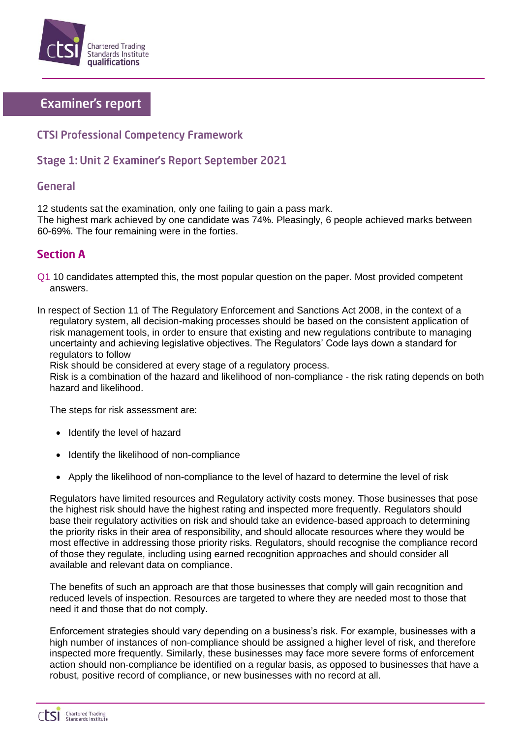

# **Examiner's report**

### **CTSI Professional Competency Framework**

## Stage 1: Unit 2 Examiner's Report September 2021

#### **General**

12 students sat the examination, only one failing to gain a pass mark.

The highest mark achieved by one candidate was 74%. Pleasingly, 6 people achieved marks between 60-69%. The four remaining were in the forties.

### **Section A**

Q1 10 candidates attempted this, the most popular question on the paper. Most provided competent answers.

In respect of Section 11 of The Regulatory Enforcement and Sanctions Act 2008, in the context of a regulatory system, all decision-making processes should be based on the consistent application of risk management tools, in order to ensure that existing and new regulations contribute to managing uncertainty and achieving legislative objectives. The Regulators' Code lays down a standard for regulators to follow

Risk should be considered at every stage of a regulatory process.

Risk is a combination of the hazard and likelihood of non-compliance - the risk rating depends on both hazard and likelihood.

The steps for risk assessment are:

- Identify the level of hazard
- Identify the likelihood of non-compliance
- Apply the likelihood of non-compliance to the level of hazard to determine the level of risk

Regulators have limited resources and Regulatory activity costs money. Those businesses that pose the highest risk should have the highest rating and inspected more frequently. Regulators should base their regulatory activities on risk and should take an evidence-based approach to determining the priority risks in their area of responsibility, and should allocate resources where they would be most effective in addressing those priority risks. Regulators, should recognise the compliance record of those they regulate, including using earned recognition approaches and should consider all available and relevant data on compliance.

The benefits of such an approach are that those businesses that comply will gain recognition and reduced levels of inspection. Resources are targeted to where they are needed most to those that need it and those that do not comply.

Enforcement strategies should vary depending on a business's risk. For example, businesses with a high number of instances of non-compliance should be assigned a higher level of risk, and therefore inspected more frequently. Similarly, these businesses may face more severe forms of enforcement action should non-compliance be identified on a regular basis, as opposed to businesses that have a robust, positive record of compliance, or new businesses with no record at all.

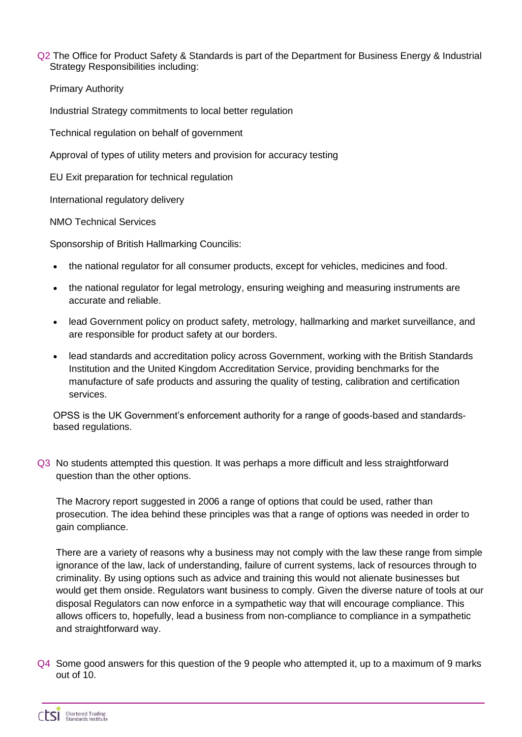Q2 The Office for Product Safety & Standards is part of the Department for Business Energy & Industrial Strategy Responsibilities including:

Primary Authority

Industrial Strategy commitments to local better regulation

Technical regulation on behalf of government

Approval of types of utility meters and provision for accuracy testing

EU Exit preparation for technical regulation

International regulatory delivery

NMO Technical Services

Sponsorship of British Hallmarking Councilis:

- the national regulator for all consumer products, except for vehicles, medicines and food.
- the national regulator for legal metrology, ensuring weighing and measuring instruments are accurate and reliable.
- lead Government policy on product safety, metrology, hallmarking and market surveillance, and are responsible for product safety at our borders.
- lead standards and accreditation policy across Government, working with the British Standards Institution and the United Kingdom Accreditation Service, providing benchmarks for the manufacture of safe products and assuring the quality of testing, calibration and certification services.

OPSS is the UK Government's enforcement authority for a range of goods-based and standardsbased regulations.

Q3 No students attempted this question. It was perhaps a more difficult and less straightforward question than the other options.

The Macrory report suggested in 2006 a range of options that could be used, rather than prosecution. The idea behind these principles was that a range of options was needed in order to gain compliance.

There are a variety of reasons why a business may not comply with the law these range from simple ignorance of the law, lack of understanding, failure of current systems, lack of resources through to criminality. By using options such as advice and training this would not alienate businesses but would get them onside. Regulators want business to comply. Given the diverse nature of tools at our disposal Regulators can now enforce in a sympathetic way that will encourage compliance. This allows officers to, hopefully, lead a business from non-compliance to compliance in a sympathetic and straightforward way.

Q4 Some good answers for this question of the 9 people who attempted it, up to a maximum of 9 marks out of 10.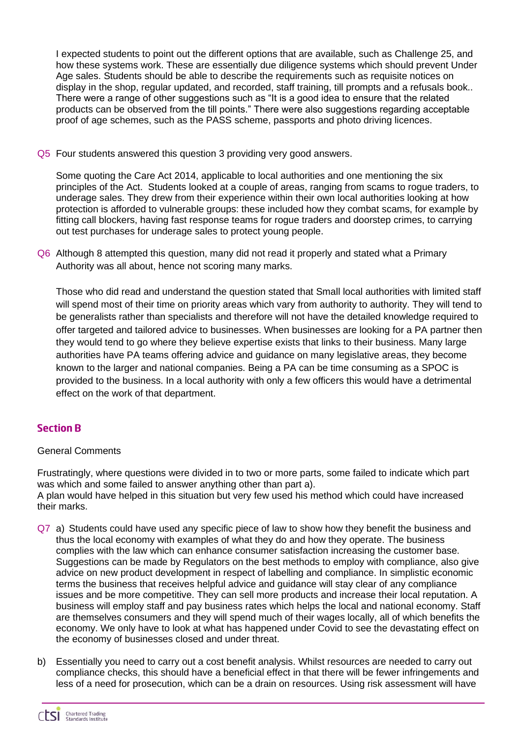I expected students to point out the different options that are available, such as Challenge 25, and how these systems work. These are essentially due diligence systems which should prevent Under Age sales. Students should be able to describe the requirements such as requisite notices on display in the shop, regular updated, and recorded, staff training, till prompts and a refusals book.. There were a range of other suggestions such as "It is a good idea to ensure that the related products can be observed from the till points." There were also suggestions regarding acceptable proof of age schemes, such as the PASS scheme, passports and photo driving licences.

Q5 Four students answered this question 3 providing very good answers.

Some quoting the Care Act 2014, applicable to local authorities and one mentioning the six principles of the Act. Students looked at a couple of areas, ranging from scams to rogue traders, to underage sales. They drew from their experience within their own local authorities looking at how protection is afforded to vulnerable groups: these included how they combat scams, for example by fitting call blockers, having fast response teams for rogue traders and doorstep crimes, to carrying out test purchases for underage sales to protect young people.

Q6 Although 8 attempted this question, many did not read it properly and stated what a Primary Authority was all about, hence not scoring many marks.

Those who did read and understand the question stated that Small local authorities with limited staff will spend most of their time on priority areas which vary from authority to authority. They will tend to be generalists rather than specialists and therefore will not have the detailed knowledge required to offer targeted and tailored advice to businesses. When businesses are looking for a PA partner then they would tend to go where they believe expertise exists that links to their business. Many large authorities have PA teams offering advice and guidance on many legislative areas, they become known to the larger and national companies. Being a PA can be time consuming as a SPOC is provided to the business. In a local authority with only a few officers this would have a detrimental effect on the work of that department.

### **Section B**

#### General Comments

Frustratingly, where questions were divided in to two or more parts, some failed to indicate which part was which and some failed to answer anything other than part a). A plan would have helped in this situation but very few used his method which could have increased their marks.

- Q7 a) Students could have used any specific piece of law to show how they benefit the business and thus the local economy with examples of what they do and how they operate. The business complies with the law which can enhance consumer satisfaction increasing the customer base. Suggestions can be made by Regulators on the best methods to employ with compliance, also give advice on new product development in respect of labelling and compliance. In simplistic economic terms the business that receives helpful advice and guidance will stay clear of any compliance issues and be more competitive. They can sell more products and increase their local reputation. A business will employ staff and pay business rates which helps the local and national economy. Staff are themselves consumers and they will spend much of their wages locally, all of which benefits the economy. We only have to look at what has happened under Covid to see the devastating effect on the economy of businesses closed and under threat.
- b) Essentially you need to carry out a cost benefit analysis. Whilst resources are needed to carry out compliance checks, this should have a beneficial effect in that there will be fewer infringements and less of a need for prosecution, which can be a drain on resources. Using risk assessment will have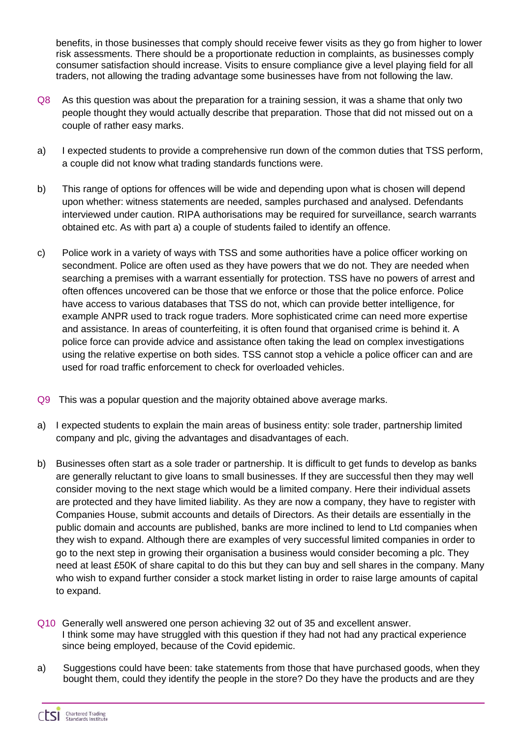benefits, in those businesses that comply should receive fewer visits as they go from higher to lower risk assessments. There should be a proportionate reduction in complaints, as businesses comply consumer satisfaction should increase. Visits to ensure compliance give a level playing field for all traders, not allowing the trading advantage some businesses have from not following the law.

- Q8 As this question was about the preparation for a training session, it was a shame that only two people thought they would actually describe that preparation. Those that did not missed out on a couple of rather easy marks.
- a) I expected students to provide a comprehensive run down of the common duties that TSS perform, a couple did not know what trading standards functions were.
- b) This range of options for offences will be wide and depending upon what is chosen will depend upon whether: witness statements are needed, samples purchased and analysed. Defendants interviewed under caution. RIPA authorisations may be required for surveillance, search warrants obtained etc. As with part a) a couple of students failed to identify an offence.
- c) Police work in a variety of ways with TSS and some authorities have a police officer working on secondment. Police are often used as they have powers that we do not. They are needed when searching a premises with a warrant essentially for protection. TSS have no powers of arrest and often offences uncovered can be those that we enforce or those that the police enforce. Police have access to various databases that TSS do not, which can provide better intelligence, for example ANPR used to track rogue traders. More sophisticated crime can need more expertise and assistance. In areas of counterfeiting, it is often found that organised crime is behind it. A police force can provide advice and assistance often taking the lead on complex investigations using the relative expertise on both sides. TSS cannot stop a vehicle a police officer can and are used for road traffic enforcement to check for overloaded vehicles.
- Q9 This was a popular question and the majority obtained above average marks.
- a) I expected students to explain the main areas of business entity: sole trader, partnership limited company and plc, giving the advantages and disadvantages of each.
- b) Businesses often start as a sole trader or partnership. It is difficult to get funds to develop as banks are generally reluctant to give loans to small businesses. If they are successful then they may well consider moving to the next stage which would be a limited company. Here their individual assets are protected and they have limited liability. As they are now a company, they have to register with Companies House, submit accounts and details of Directors. As their details are essentially in the public domain and accounts are published, banks are more inclined to lend to Ltd companies when they wish to expand. Although there are examples of very successful limited companies in order to go to the next step in growing their organisation a business would consider becoming a plc. They need at least £50K of share capital to do this but they can buy and sell shares in the company. Many who wish to expand further consider a stock market listing in order to raise large amounts of capital to expand.
- Q10 Generally well answered one person achieving 32 out of 35 and excellent answer. I think some may have struggled with this question if they had not had any practical experience since being employed, because of the Covid epidemic.
- a) Suggestions could have been: take statements from those that have purchased goods, when they bought them, could they identify the people in the store? Do they have the products and are they